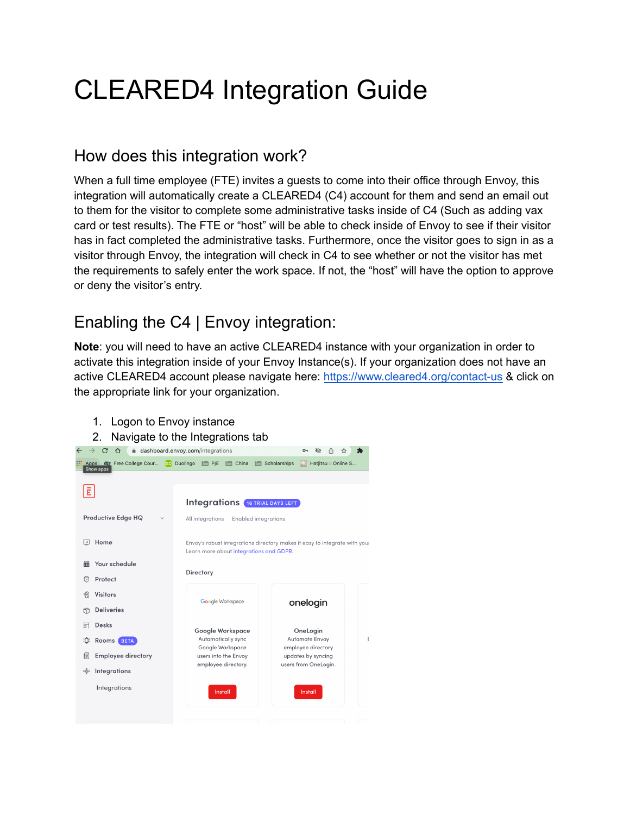# CLEARED4 Integration Guide

## How does this integration work?

When a full time employee (FTE) invites a guests to come into their office through Envoy, this integration will automatically create a CLEARED4 (C4) account for them and send an email out to them for the visitor to complete some administrative tasks inside of C4 (Such as adding vax card or test results). The FTE or "host" will be able to check inside of Envoy to see if their visitor has in fact completed the administrative tasks. Furthermore, once the visitor goes to sign in as a visitor through Envoy, the integration will check in C4 to see whether or not the visitor has met the requirements to safely enter the work space. If not, the "host" will have the option to approve or deny the visitor's entry.

# Enabling the C4 | Envoy integration:

**Note**: you will need to have an active CLEARED4 instance with your organization in order to activate this integration inside of your Envoy Instance(s). If your organization does not have an active CLEARED4 account please navigate here: <https://www.cleared4.org/contact-us> & click on the appropriate link for your organization.

| 1.<br>Logon to Envoy instance<br>2.                  | Navigate to the Integrations tab                |                                                                           |
|------------------------------------------------------|-------------------------------------------------|---------------------------------------------------------------------------|
| $\leftarrow$                                         | dashboard.envoy.com/integrations                | ᠳ<br>Ø<br>☆                                                               |
| Free College Cour<br>Apps<br><b>BOX</b><br>Show apps | <b>O.</b> Duolingo<br>China<br>E P/E            | Scholarships<br>Hatjitsu :: Online S                                      |
| E                                                    | <b>Integrations 16 TRIAL DAYS LEFT</b>          |                                                                           |
| Productive Edge HQ                                   | All integrations<br><b>Enabled integrations</b> |                                                                           |
| 同<br>Home                                            | Learn more about integrations and GDPR.         | Envoy's robust integrations directory makes it easy to integrate with you |
| Your schedule<br>丽<br>Ø<br>Protect                   | Directory                                       |                                                                           |
| ۴<br><b>Visitors</b>                                 | <b>Google Workspace</b>                         | onelogin                                                                  |
| <b>Deliveries</b><br>ñ                               |                                                 |                                                                           |
| <b>Desks</b><br>豇                                    | Google Workspace                                | OneLogin                                                                  |
| ۱Ô۱<br>Rooms<br><b>BETA</b>                          | Automatically sync<br>Google Workspace          | <b>Automate Envoy</b><br>employee directory                               |
| 掴<br><b>Employee directory</b>                       | users into the Envoy                            | updates by syncing                                                        |
| ∗.<br>Integrations                                   | employee directory.                             | users from OneLogin.                                                      |
| Integrations                                         | Install                                         | Install                                                                   |
|                                                      |                                                 |                                                                           |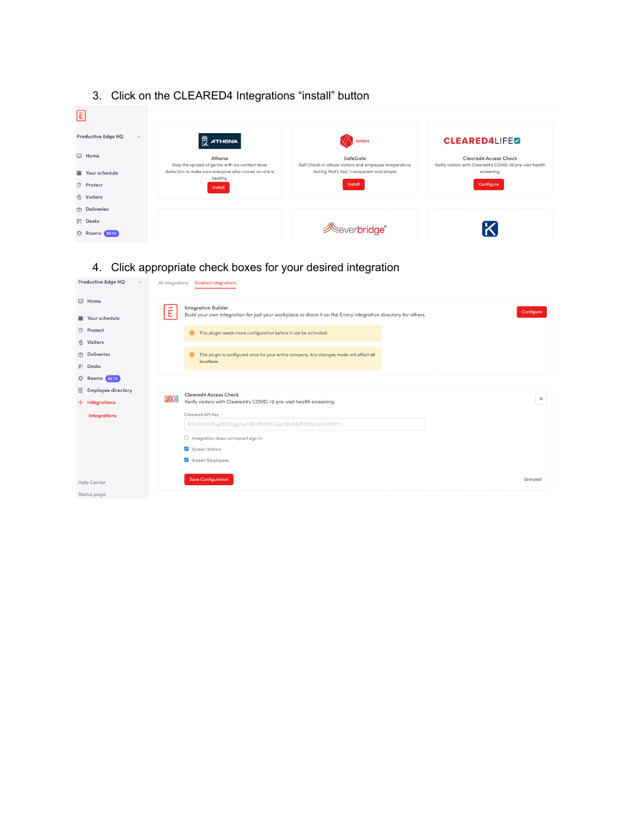

## 4. Click appropriate check boxes for your desired integration

| Productive Edge HQ<br>$\checkmark$ |   | All integrations <b>Enabled integrations</b>                                                                  |           |
|------------------------------------|---|---------------------------------------------------------------------------------------------------------------|-----------|
| <b>III</b> Home                    |   | <b>Integration Builder</b>                                                                                    |           |
| iii Your schedule                  | Ē | Build your own integration for just your workplace or share it on the Envoy integration directory for others. | Configure |
| <b>D</b> Protect                   |   | This plugin needs more configuration before it can be activated.                                              |           |
| <b>&amp;</b> Visitors              |   |                                                                                                               |           |
| <b>n</b> Deliveries                |   | This plugin is configured once for your entire company. Any changes made will affect all<br>locations.        |           |
| <b>厨</b> Desks                     |   |                                                                                                               |           |
| D: Rooms BETA                      |   |                                                                                                               |           |
| <b>Employee directory</b><br>€     |   | <b>Cleared4 Access Check</b>                                                                                  |           |
| <b>No Integrations</b>             |   | Verify visitors with Cleared4's COVID-19 pre-visit health screening.                                          | $\times$  |
| <b>Integrations</b>                |   | Cleared4 API Key                                                                                              |           |
|                                    |   | R5iqW4hGPsgPNQ2JjgIbyFXRcffHMrkTvpc59vH87F13kIJUxhdUkVUY=                                                     |           |
|                                    |   | $\Box$ Integration does not impact sign in                                                                    |           |
|                                    |   | Screen Visitors                                                                                               |           |
|                                    |   | Screen Employees                                                                                              |           |
|                                    |   | <b>Save Configuration</b>                                                                                     | Uninstall |
| <b>Help Center</b>                 |   |                                                                                                               |           |
| Status page                        |   |                                                                                                               |           |

### 3. Click on the CLEARED4 Integrations "install" button